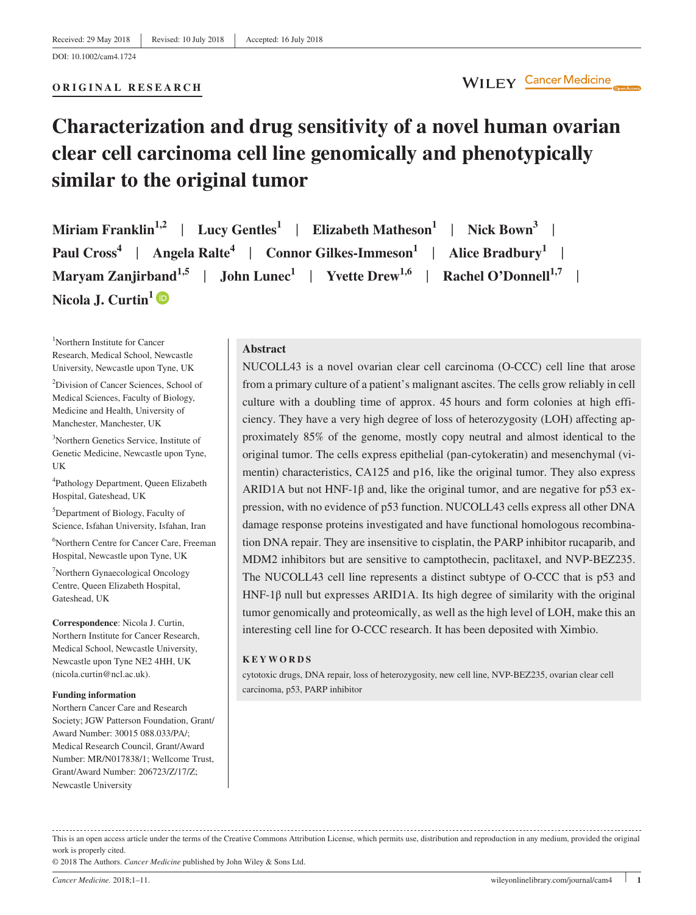#### **ORIGINAL RESEARCH**

WILEY Cancer Medicine

# **Characterization and drug sensitivity of a novel human ovarian clear cell carcinoma cell line genomically and phenotypically similar to the original tumor**

| Miriam Franklin <sup>1,2</sup>   Lucy Gentles <sup>1</sup>   Elizabeth Matheson <sup>1</sup>   Nick Bown <sup>3</sup>     |
|---------------------------------------------------------------------------------------------------------------------------|
| Paul Cross <sup>4</sup>   Angela Ralte <sup>4</sup>   Connor Gilkes-Immeson <sup>1</sup>   Alice Bradbury <sup>1</sup>    |
| Maryam Zanjirband <sup>1,5</sup>   John Lunec <sup>1</sup>   Yvette Drew <sup>1,6</sup>   Rachel O'Donnell <sup>1,7</sup> |
| Nicola J. Curtin <sup>1</sup> <sup>(D)</sup>                                                                              |

1 Northern Institute for Cancer Research, Medical School, Newcastle University, Newcastle upon Tyne, UK

2 Division of Cancer Sciences, School of Medical Sciences, Faculty of Biology, Medicine and Health, University of Manchester, Manchester, UK

3 Northern Genetics Service, Institute of Genetic Medicine, Newcastle upon Tyne, UK

4 Pathology Department, Queen Elizabeth Hospital, Gateshead, UK

5 Department of Biology, Faculty of Science, Isfahan University, Isfahan, Iran

6 Northern Centre for Cancer Care, Freeman Hospital, Newcastle upon Tyne, UK

7 Northern Gynaecological Oncology Centre, Queen Elizabeth Hospital, Gateshead, UK

**Correspondence**: Nicola J. Curtin, Northern Institute for Cancer Research, Medical School, Newcastle University, Newcastle upon Tyne NE2 4HH, UK [\(nicola.curtin@ncl.ac.uk](mailto:nicola.curtin@ncl.ac.uk)).

#### **Funding information**

Northern Cancer Care and Research Society; JGW Patterson Foundation, Grant/ Award Number: 30015 088.033/PA/; Medical Research Council, Grant/Award Number: MR/N017838/1; Wellcome Trust, Grant/Award Number: 206723/Z/17/Z; Newcastle University

#### **Abstract**

NUCOLL43 is a novel ovarian clear cell carcinoma (O-CCC) cell line that arose from a primary culture of a patient's malignant ascites. The cells grow reliably in cell culture with a doubling time of approx. 45 hours and form colonies at high efficiency. They have a very high degree of loss of heterozygosity (LOH) affecting approximately 85% of the genome, mostly copy neutral and almost identical to the original tumor. The cells express epithelial (pan-cytokeratin) and mesenchymal (vimentin) characteristics, CA125 and p16, like the original tumor. They also express ARID1A but not HNF-1 $\beta$  and, like the original tumor, and are negative for p53 expression, with no evidence of p53 function. NUCOLL43 cells express all other DNA damage response proteins investigated and have functional homologous recombination DNA repair. They are insensitive to cisplatin, the PARP inhibitor rucaparib, and MDM2 inhibitors but are sensitive to camptothecin, paclitaxel, and NVP-BEZ235. The NUCOLL43 cell line represents a distinct subtype of O-CCC that is p53 and HNF-1β null but expresses ARID1A. Its high degree of similarity with the original tumor genomically and proteomically, as well as the high level of LOH, make this an interesting cell line for O-CCC research. It has been deposited with Ximbio.

#### **KEYWORDS**

cytotoxic drugs, DNA repair, loss of heterozygosity, new cell line, NVP-BEZ235, ovarian clear cell carcinoma, p53, PARP inhibitor

This is an open access article under the terms of the [Creative Commons Attribution](http://creativecommons.org/licenses/by/4.0/) License, which permits use, distribution and reproduction in any medium, provided the original work is properly cited.

© 2018 The Authors. *Cancer Medicine* published by John Wiley & Sons Ltd.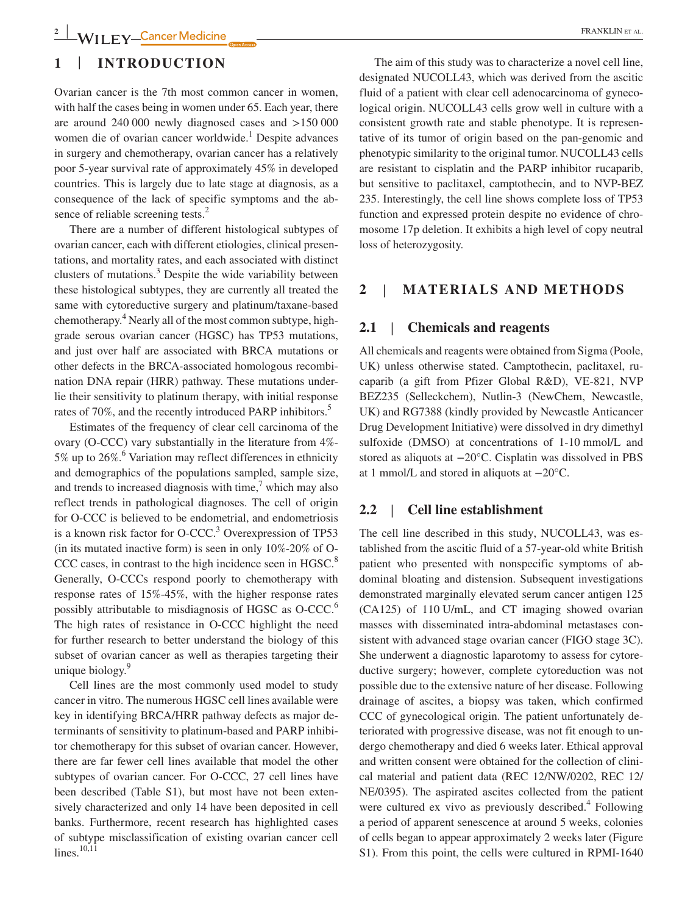# **1** | **INTRODUCTION**

Ovarian cancer is the 7th most common cancer in women, with half the cases being in women under 65. Each year, there are around 240 000 newly diagnosed cases and >150 000 women die of ovarian cancer worldwide.<sup>1</sup> Despite advances in surgery and chemotherapy, ovarian cancer has a relatively poor 5-year survival rate of approximately 45% in developed countries. This is largely due to late stage at diagnosis, as a consequence of the lack of specific symptoms and the absence of reliable screening tests.<sup>2</sup>

There are a number of different histological subtypes of ovarian cancer, each with different etiologies, clinical presentations, and mortality rates, and each associated with distinct clusters of mutations.<sup>3</sup> Despite the wide variability between these histological subtypes, they are currently all treated the same with cytoreductive surgery and platinum/taxane-based chemotherapy.<sup>4</sup> Nearly all of the most common subtype, highgrade serous ovarian cancer (HGSC) has TP53 mutations, and just over half are associated with BRCA mutations or other defects in the BRCA-associated homologous recombination DNA repair (HRR) pathway. These mutations underlie their sensitivity to platinum therapy, with initial response rates of 70%, and the recently introduced PARP inhibitors.<sup>5</sup>

Estimates of the frequency of clear cell carcinoma of the ovary (O-CCC) vary substantially in the literature from 4%- 5% up to  $26\%$ .<sup>6</sup> Variation may reflect differences in ethnicity and demographics of the populations sampled, sample size, and trends to increased diagnosis with time,<sup>7</sup> which may also reflect trends in pathological diagnoses. The cell of origin for O-CCC is believed to be endometrial, and endometriosis is a known risk factor for O-CCC.<sup>3</sup> Overexpression of TP53 (in its mutated inactive form) is seen in only  $10\%$ -20% of O-CCC cases, in contrast to the high incidence seen in HGSC.<sup>8</sup> Generally, O-CCCs respond poorly to chemotherapy with response rates of 15%-45%, with the higher response rates possibly attributable to misdiagnosis of HGSC as O-CCC.6 The high rates of resistance in O-CCC highlight the need for further research to better understand the biology of this subset of ovarian cancer as well as therapies targeting their unique biology.<sup>9</sup>

Cell lines are the most commonly used model to study cancer in vitro. The numerous HGSC cell lines available were key in identifying BRCA/HRR pathway defects as major determinants of sensitivity to platinum-based and PARP inhibitor chemotherapy for this subset of ovarian cancer. However, there are far fewer cell lines available that model the other subtypes of ovarian cancer. For O-CCC, 27 cell lines have been described (Table S1), but most have not been extensively characterized and only 14 have been deposited in cell banks. Furthermore, recent research has highlighted cases of subtype misclassification of existing ovarian cancer cell lines. $10,11$ 

The aim of this study was to characterize a novel cell line, designated NUCOLL43, which was derived from the ascitic fluid of a patient with clear cell adenocarcinoma of gynecological origin. NUCOLL43 cells grow well in culture with a consistent growth rate and stable phenotype. It is representative of its tumor of origin based on the pan-genomic and phenotypic similarity to the original tumor. NUCOLL43 cells are resistant to cisplatin and the PARP inhibitor rucaparib, but sensitive to paclitaxel, camptothecin, and to NVP-BEZ 235. Interestingly, the cell line shows complete loss of TP53 function and expressed protein despite no evidence of chromosome 17p deletion. It exhibits a high level of copy neutral loss of heterozygosity.

## **2** | **MATERIALS AND METHODS**

## **2.1** | **Chemicals and reagents**

All chemicals and reagents were obtained from Sigma (Poole, UK) unless otherwise stated. Camptothecin, paclitaxel, rucaparib (a gift from Pfizer Global R&D), VE-821, NVP BEZ235 (Selleckchem), Nutlin-3 (NewChem, Newcastle, UK) and RG7388 (kindly provided by Newcastle Anticancer Drug Development Initiative) were dissolved in dry dimethyl sulfoxide (DMSO) at concentrations of 1-10 mmol/L and stored as aliquots at −20°C. Cisplatin was dissolved in PBS at 1 mmol/L and stored in aliquots at −20°C.

## **2.2** | **Cell line establishment**

The cell line described in this study, NUCOLL43, was established from the ascitic fluid of a 57-year-old white British patient who presented with nonspecific symptoms of abdominal bloating and distension. Subsequent investigations demonstrated marginally elevated serum cancer antigen 125 (CA125) of 110 U/mL, and CT imaging showed ovarian masses with disseminated intra-abdominal metastases consistent with advanced stage ovarian cancer (FIGO stage 3C). She underwent a diagnostic laparotomy to assess for cytoreductive surgery; however, complete cytoreduction was not possible due to the extensive nature of her disease. Following drainage of ascites, a biopsy was taken, which confirmed CCC of gynecological origin. The patient unfortunately deteriorated with progressive disease, was not fit enough to undergo chemotherapy and died 6 weeks later. Ethical approval and written consent were obtained for the collection of clinical material and patient data (REC 12/NW/0202, REC 12/ NE/0395). The aspirated ascites collected from the patient were cultured ex vivo as previously described.<sup>4</sup> Following a period of apparent senescence at around 5 weeks, colonies of cells began to appear approximately 2 weeks later (Figure S1). From this point, the cells were cultured in RPMI-1640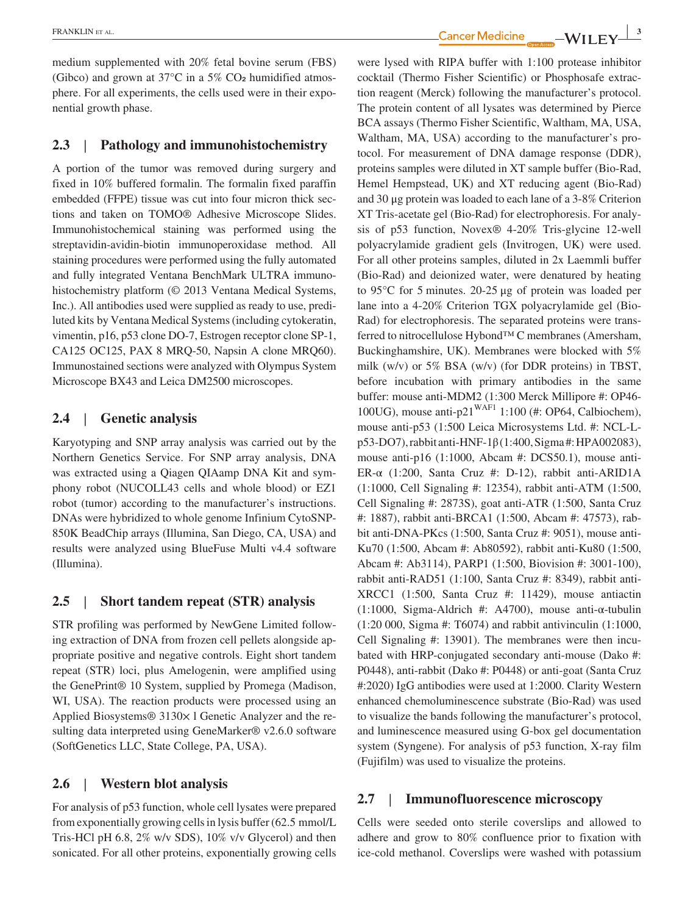medium supplemented with 20% fetal bovine serum (FBS) (Gibco) and grown at  $37^{\circ}$ C in a  $5\%$  CO<sub>2</sub> humidified atmosphere. For all experiments, the cells used were in their exponential growth phase.

## **2.3** | **Pathology and immunohistochemistry**

A portion of the tumor was removed during surgery and fixed in 10% buffered formalin. The formalin fixed paraffin embedded (FFPE) tissue was cut into four micron thick sections and taken on TOMO® Adhesive Microscope Slides. Immunohistochemical staining was performed using the streptavidin-avidin-biotin immunoperoxidase method. All staining procedures were performed using the fully automated and fully integrated Ventana BenchMark ULTRA immunohistochemistry platform (© 2013 Ventana Medical Systems, Inc.). All antibodies used were supplied as ready to use, prediluted kits by Ventana Medical Systems (including cytokeratin, vimentin, p16, p53 clone DO-7, Estrogen receptor clone SP-1, CA125 OC125, PAX 8 MRQ-50, Napsin A clone MRQ60). Immunostained sections were analyzed with Olympus System Microscope BX43 and Leica DM2500 microscopes.

## **2.4** | **Genetic analysis**

Karyotyping and SNP array analysis was carried out by the Northern Genetics Service. For SNP array analysis, DNA was extracted using a Qiagen QIAamp DNA Kit and symphony robot (NUCOLL43 cells and whole blood) or EZ1 robot (tumor) according to the manufacturer's instructions. DNAs were hybridized to whole genome Infinium CytoSNP-850K BeadChip arrays (Illumina, San Diego, CA, USA) and results were analyzed using BlueFuse Multi v4.4 software (Illumina).

## **2.5** | **Short tandem repeat (STR) analysis**

STR profiling was performed by NewGene Limited following extraction of DNA from frozen cell pellets alongside appropriate positive and negative controls. Eight short tandem repeat (STR) loci, plus Amelogenin, were amplified using the GenePrint® 10 System, supplied by Promega (Madison, WI, USA). The reaction products were processed using an Applied Biosystems® 3130× 1 Genetic Analyzer and the resulting data interpreted using GeneMarker® v2.6.0 software (SoftGenetics LLC, State College, PA, USA).

## **2.6** | **Western blot analysis**

For analysis of p53 function, whole cell lysates were prepared from exponentially growing cells in lysis buffer (62.5 mmol/L Tris-HCl pH 6.8, 2% w/v SDS), 10% v/v Glycerol) and then sonicated. For all other proteins, exponentially growing cells

ERANKLIN ET AL. **3**<br>**Cancer Medicine \_\_\_\_WILEY\_3** 

were lysed with RIPA buffer with 1:100 protease inhibitor cocktail (Thermo Fisher Scientific) or Phosphosafe extraction reagent (Merck) following the manufacturer's protocol. The protein content of all lysates was determined by Pierce BCA assays (Thermo Fisher Scientific, Waltham, MA, USA, Waltham, MA, USA) according to the manufacturer's protocol. For measurement of DNA damage response (DDR), proteins samples were diluted in XT sample buffer (Bio-Rad, Hemel Hempstead, UK) and XT reducing agent (Bio-Rad) and 30 μg protein was loaded to each lane of a 3-8% Criterion XT Tris-acetate gel (Bio-Rad) for electrophoresis. For analysis of p53 function, Novex® 4-20% Tris-glycine 12-well polyacrylamide gradient gels (Invitrogen, UK) were used. For all other proteins samples, diluted in 2x Laemmli buffer (Bio-Rad) and deionized water, were denatured by heating to 95°C for 5 minutes. 20-25 μg of protein was loaded per lane into a 4-20% Criterion TGX polyacrylamide gel (Bio-Rad) for electrophoresis. The separated proteins were transferred to nitrocellulose Hybond™ C membranes (Amersham, Buckinghamshire, UK). Membranes were blocked with 5% milk (w/v) or 5% BSA (w/v) (for DDR proteins) in TBST, before incubation with primary antibodies in the same buffer: mouse anti-MDM2 (1:300 Merck Millipore #: OP46- 100UG), mouse anti-p21<sup>WAF1</sup> 1:100 (#: OP64, Calbiochem), mouse anti-p53 (1:500 Leica Microsystems Ltd. #: NCL-Lp53-DO7), rabbit anti-HNF-1β (1:400, Sigma #: HPA002083), mouse anti-p16 (1:1000, Abcam #: DCS50.1), mouse anti-ER-α (1:200, Santa Cruz #: D-12), rabbit anti-ARID1A (1:1000, Cell Signaling #: 12354), rabbit anti-ATM (1:500, Cell Signaling #: 2873S), goat anti-ATR (1:500, Santa Cruz #: 1887), rabbit anti-BRCA1 (1:500, Abcam #: 47573), rabbit anti-DNA-PKcs (1:500, Santa Cruz #: 9051), mouse anti-Ku70 (1:500, Abcam #: Ab80592), rabbit anti-Ku80 (1:500, Abcam #: Ab3114), PARP1 (1:500, Biovision #: 3001-100), rabbit anti-RAD51 (1:100, Santa Cruz #: 8349), rabbit anti-XRCC1 (1:500, Santa Cruz #: 11429), mouse antiactin (1:1000, Sigma-Aldrich #: A4700), mouse anti-α-tubulin (1:20 000, Sigma #: T6074) and rabbit antivinculin (1:1000, Cell Signaling #: 13901). The membranes were then incubated with HRP-conjugated secondary anti-mouse (Dako #: P0448), anti-rabbit (Dako #: P0448) or anti-goat (Santa Cruz #:2020) IgG antibodies were used at 1:2000. Clarity Western enhanced chemoluminescence substrate (Bio-Rad) was used to visualize the bands following the manufacturer's protocol, and luminescence measured using G-box gel documentation system (Syngene). For analysis of p53 function, X-ray film (Fujifilm) was used to visualize the proteins.

#### **2.7** | **Immunofluorescence microscopy**

Cells were seeded onto sterile coverslips and allowed to adhere and grow to 80% confluence prior to fixation with ice-cold methanol. Coverslips were washed with potassium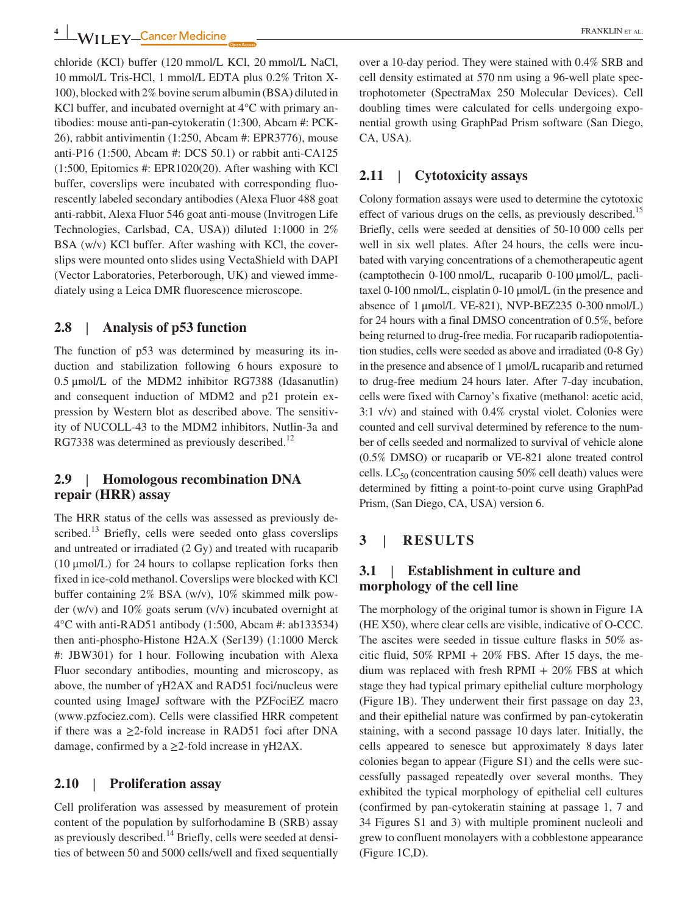chloride (KCl) buffer (120 mmol/L KCl, 20 mmol/L NaCl, 10 mmol/L Tris-HCl, 1 mmol/L EDTA plus 0.2% Triton X-100), blocked with 2% bovine serum albumin (BSA) diluted in KCl buffer, and incubated overnight at  $4^{\circ}$ C with primary antibodies: mouse anti-pan-cytokeratin (1:300, Abcam #: PCK-26), rabbit antivimentin (1:250, Abcam #: EPR3776), mouse anti-P16 (1:500, Abcam #: DCS 50.1) or rabbit anti-CA125 (1:500, Epitomics #: EPR1020(20). After washing with KCl buffer, coverslips were incubated with corresponding fluorescently labeled secondary antibodies (Alexa Fluor 488 goat anti-rabbit, Alexa Fluor 546 goat anti-mouse (Invitrogen Life Technologies, Carlsbad, CA, USA)) diluted 1:1000 in 2% BSA (w/v) KCl buffer. After washing with KCl, the coverslips were mounted onto slides using VectaShield with DAPI (Vector Laboratories, Peterborough, UK) and viewed immediately using a Leica DMR fluorescence microscope.

# **2.8** | **Analysis of p53 function**

The function of p53 was determined by measuring its induction and stabilization following 6 hours exposure to 0.5 μmol/L of the MDM2 inhibitor RG7388 (Idasanutlin) and consequent induction of MDM2 and p21 protein expression by Western blot as described above. The sensitivity of NUCOLL-43 to the MDM2 inhibitors, Nutlin-3a and RG7338 was determined as previously described.<sup>12</sup>

## **2.9** | **Homologous recombination DNA repair (HRR) assay**

The HRR status of the cells was assessed as previously described.<sup>13</sup> Briefly, cells were seeded onto glass coverslips and untreated or irradiated (2 Gy) and treated with rucaparib (10 μmol/L) for 24 hours to collapse replication forks then fixed in ice-cold methanol. Coverslips were blocked with KCl buffer containing 2% BSA (w/v), 10% skimmed milk powder (w/v) and 10% goats serum (v/v) incubated overnight at 4°C with anti-RAD51 antibody (1:500, Abcam #: ab133534) then anti-phospho-Histone H2A.X (Ser139) (1:1000 Merck #: JBW301) for 1 hour. Following incubation with Alexa Fluor secondary antibodies, mounting and microscopy, as above, the number of γH2AX and RAD51 foci/nucleus were counted using ImageJ software with the PZFociEZ macro ([www.pzfociez.com\)](http://www.pzfociez.com). Cells were classified HRR competent if there was a  $\geq$ 2-fold increase in RAD51 foci after DNA damage, confirmed by a  $\geq$ 2-fold increase in γH2AX.

## **2.10** | **Proliferation assay**

Cell proliferation was assessed by measurement of protein content of the population by sulforhodamine B (SRB) assay as previously described.<sup>14</sup> Briefly, cells were seeded at densities of between 50 and 5000 cells/well and fixed sequentially

over a 10-day period. They were stained with 0.4% SRB and cell density estimated at 570 nm using a 96-well plate spectrophotometer (SpectraMax 250 Molecular Devices). Cell doubling times were calculated for cells undergoing exponential growth using GraphPad Prism software (San Diego, CA, USA).

## **2.11** | **Cytotoxicity assays**

Colony formation assays were used to determine the cytotoxic effect of various drugs on the cells, as previously described.<sup>15</sup> Briefly, cells were seeded at densities of 50-10 000 cells per well in six well plates. After 24 hours, the cells were incubated with varying concentrations of a chemotherapeutic agent (camptothecin 0-100 nmol/L, rucaparib 0-100 μmol/L, paclitaxel 0-100 nmol/L, cisplatin 0-10 μmol/L (in the presence and absence of 1 μmol/L VE-821), NVP-BEZ235 0-300 nmol/L) for 24 hours with a final DMSO concentration of 0.5%, before being returned to drug-free media. For rucaparib radiopotentiation studies, cells were seeded as above and irradiated (0-8 Gy) in the presence and absence of 1 μmol/L rucaparib and returned to drug-free medium 24 hours later. After 7-day incubation, cells were fixed with Carnoy's fixative (methanol: acetic acid, 3:1 v/v) and stained with 0.4% crystal violet. Colonies were counted and cell survival determined by reference to the number of cells seeded and normalized to survival of vehicle alone (0.5% DMSO) or rucaparib or VE-821 alone treated control cells. LC $_{50}$  (concentration causing 50% cell death) values were determined by fitting a point-to-point curve using GraphPad Prism, (San Diego, CA, USA) version 6.

# **3** | **RESULTS**

## **3.1** | **Establishment in culture and morphology of the cell line**

The morphology of the original tumor is shown in Figure 1A (HE X50), where clear cells are visible, indicative of O-CCC. The ascites were seeded in tissue culture flasks in 50% ascitic fluid,  $50\%$  RPMI +  $20\%$  FBS. After 15 days, the medium was replaced with fresh RPMI  $+$  20% FBS at which stage they had typical primary epithelial culture morphology (Figure 1B). They underwent their first passage on day 23, and their epithelial nature was confirmed by pan-cytokeratin staining, with a second passage 10 days later. Initially, the cells appeared to senesce but approximately 8 days later colonies began to appear (Figure S1) and the cells were successfully passaged repeatedly over several months. They exhibited the typical morphology of epithelial cell cultures (confirmed by pan-cytokeratin staining at passage 1, 7 and 34 Figures S1 and 3) with multiple prominent nucleoli and grew to confluent monolayers with a cobblestone appearance (Figure 1C,D).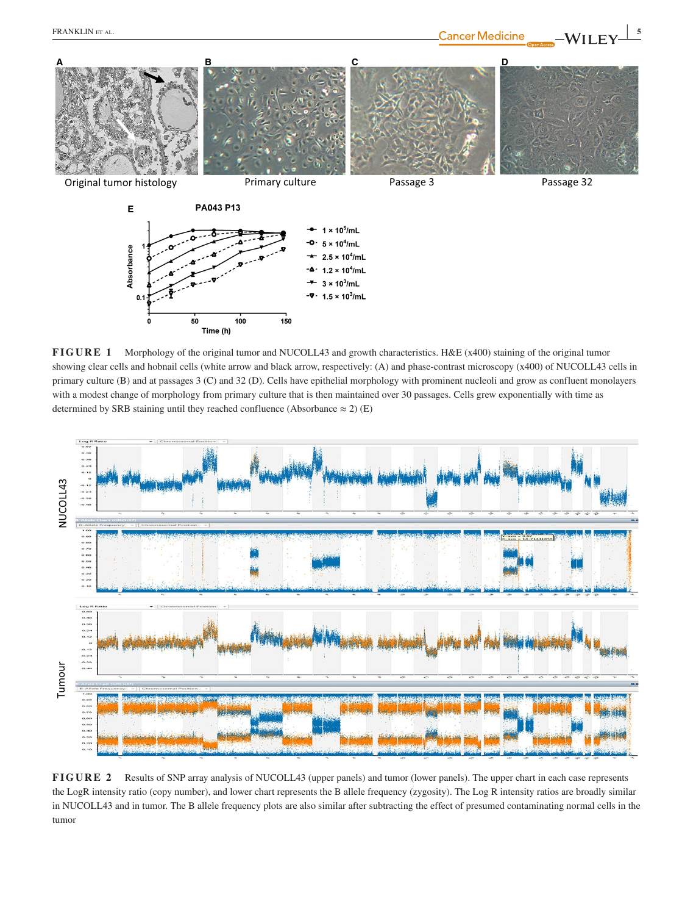

**FIGURE 1** Morphology of the original tumor and NUCOLL43 and growth characteristics. H&E (x400) staining of the original tumor showing clear cells and hobnail cells (white arrow and black arrow, respectively: (A) and phase-contrast microscopy (x400) of NUCOLL43 cells in primary culture (B) and at passages 3 (C) and 32 (D). Cells have epithelial morphology with prominent nucleoli and grow as confluent monolayers with a modest change of morphology from primary culture that is then maintained over 30 passages. Cells grew exponentially with time as determined by SRB staining until they reached confluence (Absorbance  $\approx$  2) (E)



**FIGURE 2** Results of SNP array analysis of NUCOLL43 (upper panels) and tumor (lower panels). The upper chart in each case represents the LogR intensity ratio (copy number), and lower chart represents the B allele frequency (zygosity). The Log R intensity ratios are broadly similar in NUCOLL43 and in tumor. The B allele frequency plots are also similar after subtracting the effect of presumed contaminating normal cells in the tumor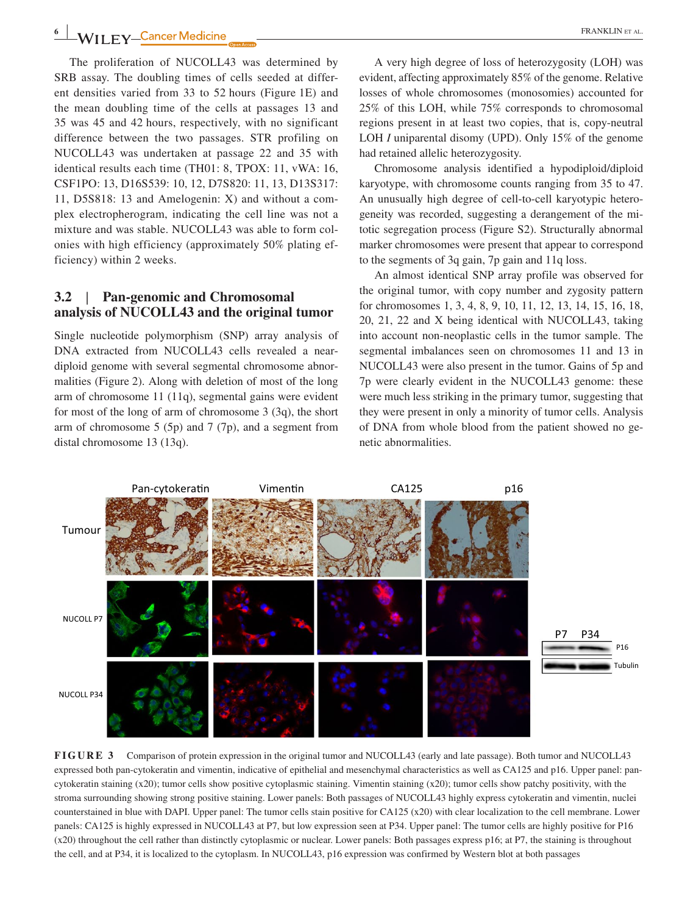The proliferation of NUCOLL43 was determined by SRB assay. The doubling times of cells seeded at different densities varied from 33 to 52 hours (Figure 1E) and the mean doubling time of the cells at passages 13 and 35 was 45 and 42 hours, respectively, with no significant difference between the two passages. STR profiling on NUCOLL43 was undertaken at passage 22 and 35 with identical results each time (TH01: 8, TPOX: 11, vWA: 16, CSF1PO: 13, D16S539: 10, 12, D7S820: 11, 13, D13S317: 11, D5S818: 13 and Amelogenin: X) and without a complex electropherogram, indicating the cell line was not a mixture and was stable. NUCOLL43 was able to form colonies with high efficiency (approximately 50% plating efficiency) within 2 weeks.

## **3.2** | **Pan-genomic and Chromosomal analysis of NUCOLL43 and the original tumor**

Single nucleotide polymorphism (SNP) array analysis of DNA extracted from NUCOLL43 cells revealed a neardiploid genome with several segmental chromosome abnormalities (Figure 2). Along with deletion of most of the long arm of chromosome 11 (11q), segmental gains were evident for most of the long of arm of chromosome 3 (3q), the short arm of chromosome 5 (5p) and 7 (7p), and a segment from distal chromosome 13 (13q).

A very high degree of loss of heterozygosity (LOH) was evident, affecting approximately 85% of the genome. Relative losses of whole chromosomes (monosomies) accounted for 25% of this LOH, while 75% corresponds to chromosomal regions present in at least two copies, that is, copy-neutral LOH *I* uniparental disomy (UPD). Only 15% of the genome had retained allelic heterozygosity.

Chromosome analysis identified a hypodiploid/diploid karyotype, with chromosome counts ranging from 35 to 47. An unusually high degree of cell-to-cell karyotypic heterogeneity was recorded, suggesting a derangement of the mitotic segregation process (Figure S2). Structurally abnormal marker chromosomes were present that appear to correspond to the segments of 3q gain, 7p gain and 11q loss.

An almost identical SNP array profile was observed for the original tumor, with copy number and zygosity pattern for chromosomes 1, 3, 4, 8, 9, 10, 11, 12, 13, 14, 15, 16, 18, 20, 21, 22 and X being identical with NUCOLL43, taking into account non-neoplastic cells in the tumor sample. The segmental imbalances seen on chromosomes 11 and 13 in NUCOLL43 were also present in the tumor. Gains of 5p and 7p were clearly evident in the NUCOLL43 genome: these were much less striking in the primary tumor, suggesting that they were present in only a minority of tumor cells. Analysis of DNA from whole blood from the patient showed no genetic abnormalities.



**FIGURE 3** Comparison of protein expression in the original tumor and NUCOLL43 (early and late passage). Both tumor and NUCOLL43 expressed both pan-cytokeratin and vimentin, indicative of epithelial and mesenchymal characteristics as well as CA125 and p16. Upper panel: pancytokeratin staining (x20); tumor cells show positive cytoplasmic staining. Vimentin staining (x20); tumor cells show patchy positivity, with the stroma surrounding showing strong positive staining. Lower panels: Both passages of NUCOLL43 highly express cytokeratin and vimentin, nuclei counterstained in blue with DAPI. Upper panel: The tumor cells stain positive for CA125 (x20) with clear localization to the cell membrane. Lower panels: CA125 is highly expressed in NUCOLL43 at P7, but low expression seen at P34. Upper panel: The tumor cells are highly positive for P16 (x20) throughout the cell rather than distinctly cytoplasmic or nuclear. Lower panels: Both passages express p16; at P7, the staining is throughout the cell, and at P34, it is localized to the cytoplasm. In NUCOLL43, p16 expression was confirmed by Western blot at both passages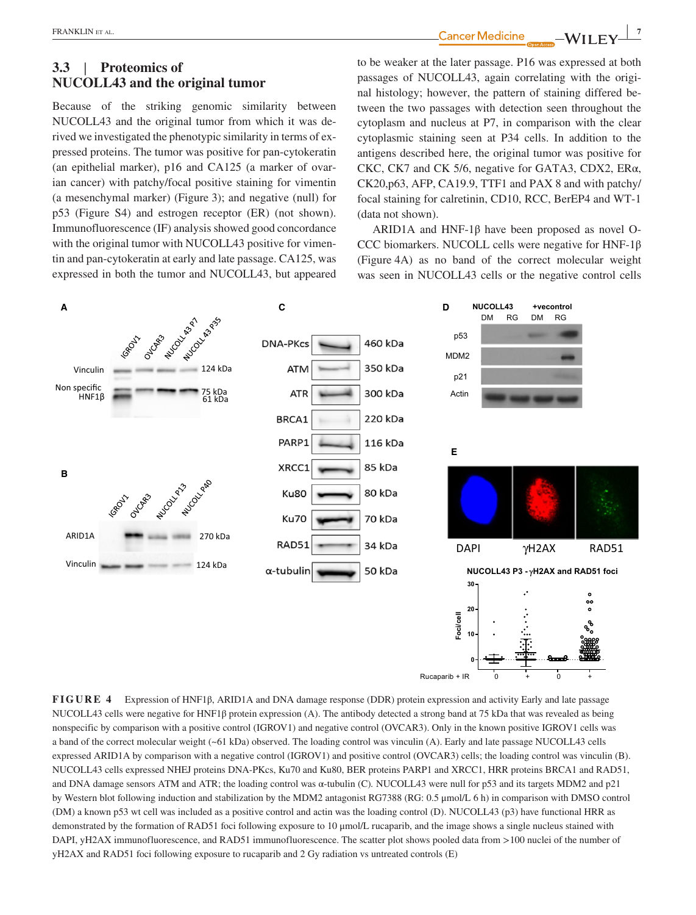**|** FRANKLIN et al. **<sup>7</sup>**

# **3.3** | **Proteomics of NUCOLL43 and the original tumor**

Because of the striking genomic similarity between NUCOLL43 and the original tumor from which it was derived we investigated the phenotypic similarity in terms of expressed proteins. The tumor was positive for pan-cytokeratin (an epithelial marker), p16 and CA125 (a marker of ovarian cancer) with patchy/focal positive staining for vimentin (a mesenchymal marker) (Figure 3); and negative (null) for p53 (Figure S4) and estrogen receptor (ER) (not shown). Immunofluorescence (IF) analysis showed good concordance with the original tumor with NUCOLL43 positive for vimentin and pan-cytokeratin at early and late passage. CA125, was expressed in both the tumor and NUCOLL43, but appeared

to be weaker at the later passage. P16 was expressed at both passages of NUCOLL43, again correlating with the original histology; however, the pattern of staining differed between the two passages with detection seen throughout the cytoplasm and nucleus at P7, in comparison with the clear cytoplasmic staining seen at P34 cells. In addition to the antigens described here, the original tumor was positive for CKC, CK7 and CK 5/6, negative for GATA3, CDX2, ERα, CK20,p63, AFP, CA19.9, TTF1 and PAX 8 and with patchy/ focal staining for calretinin, CD10, RCC, BerEP4 and WT-1 (data not shown).

ARID1A and HNF-1β have been proposed as novel O-CCC biomarkers. NUCOLL cells were negative for HNF-1β (Figure 4A) as no band of the correct molecular weight was seen in NUCOLL43 cells or the negative control cells



**FIGURE 4** Expression of HNF1β, ARID1A and DNA damage response (DDR) protein expression and activity Early and late passage NUCOLL43 cells were negative for HNF1β protein expression (A). The antibody detected a strong band at 75 kDa that was revealed as being nonspecific by comparison with a positive control (IGROV1) and negative control (OVCAR3). Only in the known positive IGROV1 cells was a band of the correct molecular weight (~61 kDa) observed. The loading control was vinculin (A). Early and late passage NUCOLL43 cells expressed ARID1A by comparison with a negative control (IGROV1) and positive control (OVCAR3) cells; the loading control was vinculin (B). NUCOLL43 cells expressed NHEJ proteins DNA-PKcs, Ku70 and Ku80, BER proteins PARP1 and XRCC1, HRR proteins BRCA1 and RAD51, and DNA damage sensors ATM and ATR; the loading control was α-tubulin (C)*.* NUCOLL43 were null for p53 and its targets MDM2 and p21 by Western blot following induction and stabilization by the MDM2 antagonist RG7388 (RG: 0.5 μmol/L 6 h) in comparison with DMSO control (DM) a known p53 wt cell was included as a positive control and actin was the loading control (D). NUCOLL43 (p3) have functional HRR as demonstrated by the formation of RAD51 foci following exposure to 10 μmol/L rucaparib, and the image shows a single nucleus stained with DAPI, yH2AX immunofluorescence, and RAD51 immunofluorescence. The scatter plot shows pooled data from >100 nuclei of the number of yH2AX and RAD51 foci following exposure to rucaparib and 2 Gy radiation vs untreated controls (E)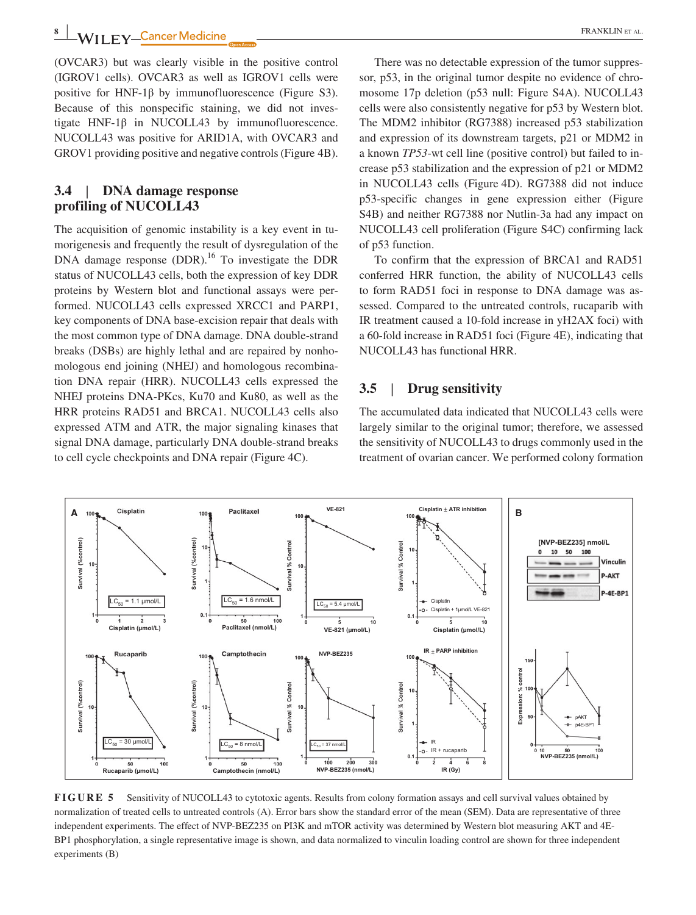**8 WII FY** Cancer Medicine **CONSIDER ALL ASSESS** FRANKLIN ET AL.

(OVCAR3) but was clearly visible in the positive control (IGROV1 cells). OVCAR3 as well as IGROV1 cells were positive for HNF-1 $\beta$  by immunofluorescence (Figure S3). Because of this nonspecific staining, we did not investigate  $HNF-1\beta$  in NUCOLL43 by immunofluorescence. NUCOLL43 was positive for ARID1A, with OVCAR3 and GROV1 providing positive and negative controls (Figure 4B).

## **3.4** | **DNA damage response profiling of NUCOLL43**

The acquisition of genomic instability is a key event in tumorigenesis and frequently the result of dysregulation of the DNA damage response (DDR).<sup>16</sup> To investigate the DDR status of NUCOLL43 cells, both the expression of key DDR proteins by Western blot and functional assays were performed. NUCOLL43 cells expressed XRCC1 and PARP1, key components of DNA base-excision repair that deals with the most common type of DNA damage. DNA double-strand breaks (DSBs) are highly lethal and are repaired by nonhomologous end joining (NHEJ) and homologous recombination DNA repair (HRR). NUCOLL43 cells expressed the NHEJ proteins DNA-PKcs, Ku70 and Ku80, as well as the HRR proteins RAD51 and BRCA1. NUCOLL43 cells also expressed ATM and ATR, the major signaling kinases that signal DNA damage, particularly DNA double-strand breaks to cell cycle checkpoints and DNA repair (Figure 4C).

There was no detectable expression of the tumor suppressor, p53, in the original tumor despite no evidence of chromosome 17p deletion (p53 null: Figure S4A). NUCOLL43 cells were also consistently negative for p53 by Western blot. The MDM2 inhibitor (RG7388) increased p53 stabilization and expression of its downstream targets, p21 or MDM2 in a known *TP53*-wt cell line (positive control) but failed to increase p53 stabilization and the expression of p21 or MDM2 in NUCOLL43 cells (Figure 4D). RG7388 did not induce p53-specific changes in gene expression either (Figure S4B) and neither RG7388 nor Nutlin-3a had any impact on NUCOLL43 cell proliferation (Figure S4C) confirming lack of p53 function.

To confirm that the expression of BRCA1 and RAD51 conferred HRR function, the ability of NUCOLL43 cells to form RAD51 foci in response to DNA damage was assessed. Compared to the untreated controls, rucaparib with IR treatment caused a 10-fold increase in yH2AX foci) with a 60-fold increase in RAD51 foci (Figure 4E), indicating that NUCOLL43 has functional HRR.

## **3.5** | **Drug sensitivity**

The accumulated data indicated that NUCOLL43 cells were largely similar to the original tumor; therefore, we assessed the sensitivity of NUCOLL43 to drugs commonly used in the treatment of ovarian cancer. We performed colony formation



**FIGURE 5** Sensitivity of NUCOLL43 to cytotoxic agents. Results from colony formation assays and cell survival values obtained by normalization of treated cells to untreated controls (A). Error bars show the standard error of the mean (SEM). Data are representative of three independent experiments. The effect of NVP-BEZ235 on PI3K and mTOR activity was determined by Western blot measuring AKT and 4E-BP1 phosphorylation, a single representative image is shown, and data normalized to vinculin loading control are shown for three independent experiments (B)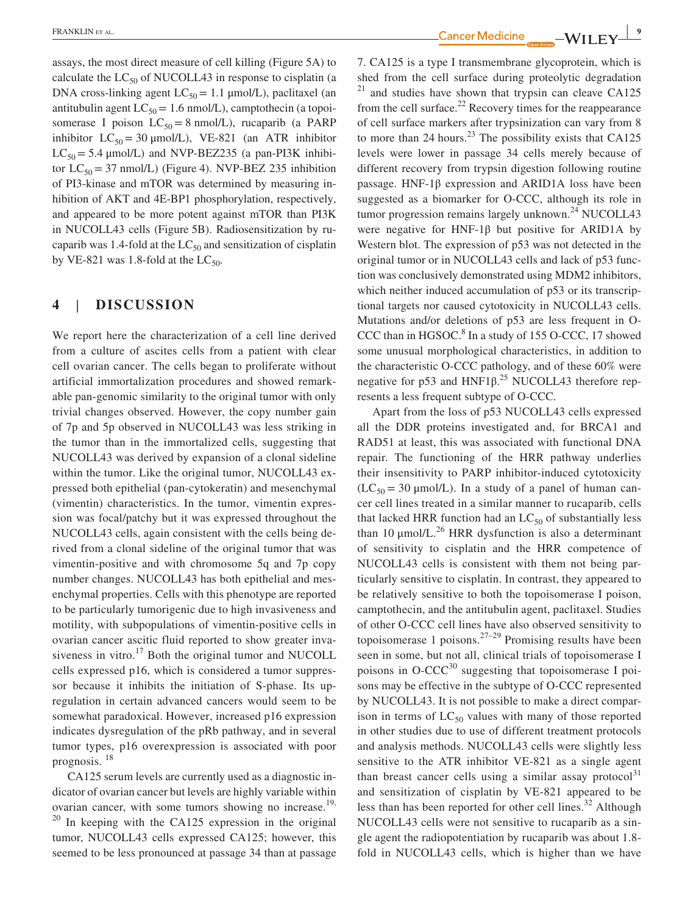assays, the most direct measure of cell killing (Figure 5A) to calculate the  $LC_{50}$  of NUCOLL43 in response to cisplatin (a DNA cross-linking agent  $LC_{50} = 1.1 \mu \text{mol/L}$ , paclitaxel (an antitubulin agent  $LC_{50} = 1.6$  nmol/L), camptothecin (a topoisomerase I poison  $LC_{50} = 8$  nmol/L), rucaparib (a PARP inhibitor  $LC_{50} = 30 \mu m o l/L$ ), VE-821 (an ATR inhibitor  $LC_{50} = 5.4 \mu$ mol/L) and NVP-BEZ235 (a pan-PI3K inhibitor  $LC_{50} = 37$  nmol/L) (Figure 4). NVP-BEZ 235 inhibition of PI3-kinase and mTOR was determined by measuring inhibition of AKT and 4E-BP1 phosphorylation, respectively, and appeared to be more potent against mTOR than PI3K in NUCOLL43 cells (Figure 5B). Radiosensitization by rucaparib was 1.4-fold at the  $LC_{50}$  and sensitization of cisplatin by VE-821 was 1.8-fold at the  $LC_{50}$ .

## **4** | **DISCUSSION**

We report here the characterization of a cell line derived from a culture of ascites cells from a patient with clear cell ovarian cancer. The cells began to proliferate without artificial immortalization procedures and showed remarkable pan-genomic similarity to the original tumor with only trivial changes observed. However, the copy number gain of 7p and 5p observed in NUCOLL43 was less striking in the tumor than in the immortalized cells, suggesting that NUCOLL43 was derived by expansion of a clonal sideline within the tumor. Like the original tumor, NUCOLL43 expressed both epithelial (pan-cytokeratin) and mesenchymal (vimentin) characteristics. In the tumor, vimentin expression was focal/patchy but it was expressed throughout the NUCOLL43 cells, again consistent with the cells being derived from a clonal sideline of the original tumor that was vimentin-positive and with chromosome 5q and 7p copy number changes. NUCOLL43 has both epithelial and mesenchymal properties. Cells with this phenotype are reported to be particularly tumorigenic due to high invasiveness and motility, with subpopulations of vimentin-positive cells in ovarian cancer ascitic fluid reported to show greater invasiveness in vitro. $17$  Both the original tumor and NUCOLL cells expressed p16, which is considered a tumor suppressor because it inhibits the initiation of S-phase. Its upregulation in certain advanced cancers would seem to be somewhat paradoxical. However, increased p16 expression indicates dysregulation of the pRb pathway, and in several tumor types, p16 overexpression is associated with poor prognosis. <sup>18</sup>

CA125 serum levels are currently used as a diagnostic indicator of ovarian cancer but levels are highly variable within ovarian cancer, with some tumors showing no increase.<sup>19,</sup>  $20$  In keeping with the CA125 expression in the original tumor, NUCOLL43 cells expressed CA125; however, this seemed to be less pronounced at passage 34 than at passage

**FRANKLIN** ET AL. **CANCELIN ET AL. 1999 - WILEY** 

7. CA125 is a type I transmembrane glycoprotein, which is shed from the cell surface during proteolytic degradation  $21$  and studies have shown that trypsin can cleave CA125 from the cell surface.<sup>22</sup> Recovery times for the reappearance of cell surface markers after trypsinization can vary from 8 to more than 24 hours.<sup>23</sup> The possibility exists that CA125 levels were lower in passage 34 cells merely because of different recovery from trypsin digestion following routine passage. HNF-1β expression and ARID1A loss have been suggested as a biomarker for O-CCC, although its role in tumor progression remains largely unknown. $24$  NUCOLL43 were negative for HNF-1β but positive for ARID1A by Western blot. The expression of p53 was not detected in the original tumor or in NUCOLL43 cells and lack of p53 function was conclusively demonstrated using MDM2 inhibitors, which neither induced accumulation of p53 or its transcriptional targets nor caused cytotoxicity in NUCOLL43 cells. Mutations and/or deletions of p53 are less frequent in O-CCC than in HGSOC.<sup>8</sup> In a study of 155 O-CCC, 17 showed some unusual morphological characteristics, in addition to the characteristic O-CCC pathology, and of these 60% were negative for p53 and HNF1β.<sup>25</sup> NUCOLL43 therefore represents a less frequent subtype of O-CCC.

Apart from the loss of p53 NUCOLL43 cells expressed all the DDR proteins investigated and, for BRCA1 and RAD51 at least, this was associated with functional DNA repair. The functioning of the HRR pathway underlies their insensitivity to PARP inhibitor-induced cytotoxicity  $(LC_{50} = 30 \mu m o l/L)$ . In a study of a panel of human cancer cell lines treated in a similar manner to rucaparib, cells that lacked HRR function had an  $LC_{50}$  of substantially less than 10  $\mu$ mol/L.<sup>26</sup> HRR dysfunction is also a determinant of sensitivity to cisplatin and the HRR competence of NUCOLL43 cells is consistent with them not being particularly sensitive to cisplatin. In contrast, they appeared to be relatively sensitive to both the topoisomerase I poison, camptothecin, and the antitubulin agent, paclitaxel. Studies of other O-CCC cell lines have also observed sensitivity to topoisomerase 1 poisons.<sup>27–29</sup> Promising results have been seen in some, but not all, clinical trials of topoisomerase I poisons in  $O-CCC^{30}$  suggesting that topoisomerase I poisons may be effective in the subtype of O-CCC represented by NUCOLL43. It is not possible to make a direct comparison in terms of  $LC_{50}$  values with many of those reported in other studies due to use of different treatment protocols and analysis methods. NUCOLL43 cells were slightly less sensitive to the ATR inhibitor VE-821 as a single agent than breast cancer cells using a similar assay protocol<sup>31</sup> and sensitization of cisplatin by VE-821 appeared to be less than has been reported for other cell lines. $32$  Although NUCOLL43 cells were not sensitive to rucaparib as a single agent the radiopotentiation by rucaparib was about 1.8 fold in NUCOLL43 cells, which is higher than we have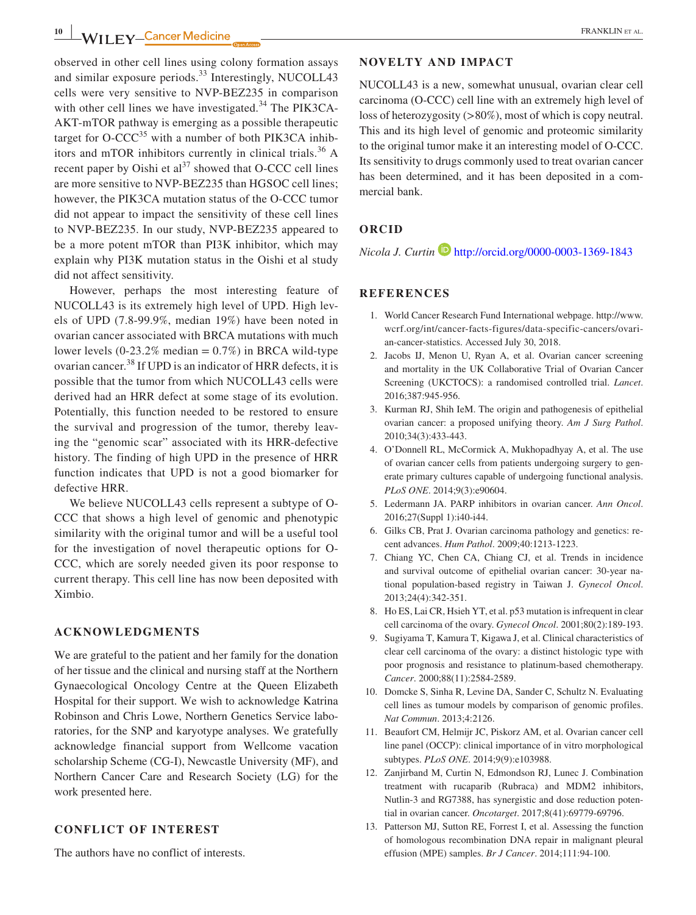observed in other cell lines using colony formation assays and similar exposure periods.<sup>33</sup> Interestingly, NUCOLL43 cells were very sensitive to NVP-BEZ235 in comparison with other cell lines we have investigated.<sup>34</sup> The PIK3CA-AKT-mTOR pathway is emerging as a possible therapeutic target for  $O$ -CCC<sup>35</sup> with a number of both PIK3CA inhibitors and mTOR inhibitors currently in clinical trials.36 A recent paper by Oishi et  $al<sup>37</sup>$  showed that O-CCC cell lines are more sensitive to NVP-BEZ235 than HGSOC cell lines; however, the PIK3CA mutation status of the O-CCC tumor did not appear to impact the sensitivity of these cell lines to NVP-BEZ235. In our study, NVP-BEZ235 appeared to be a more potent mTOR than PI3K inhibitor, which may explain why PI3K mutation status in the Oishi et al study did not affect sensitivity.

However, perhaps the most interesting feature of NUCOLL43 is its extremely high level of UPD. High levels of UPD (7.8-99.9%, median 19%) have been noted in ovarian cancer associated with BRCA mutations with much lower levels  $(0-23.2\% \text{ median} = 0.7\%)$  in BRCA wild-type ovarian cancer.38 If UPD is an indicator of HRR defects, it is possible that the tumor from which NUCOLL43 cells were derived had an HRR defect at some stage of its evolution. Potentially, this function needed to be restored to ensure the survival and progression of the tumor, thereby leaving the "genomic scar" associated with its HRR-defective history. The finding of high UPD in the presence of HRR function indicates that UPD is not a good biomarker for defective HRR.

We believe NUCOLL43 cells represent a subtype of O-CCC that shows a high level of genomic and phenotypic similarity with the original tumor and will be a useful tool for the investigation of novel therapeutic options for O-CCC, which are sorely needed given its poor response to current therapy. This cell line has now been deposited with Ximbio.

#### **ACKNOWLEDGMENTS**

We are grateful to the patient and her family for the donation of her tissue and the clinical and nursing staff at the Northern Gynaecological Oncology Centre at the Queen Elizabeth Hospital for their support. We wish to acknowledge Katrina Robinson and Chris Lowe, Northern Genetics Service laboratories, for the SNP and karyotype analyses. We gratefully acknowledge financial support from Wellcome vacation scholarship Scheme (CG-I), Newcastle University (MF), and Northern Cancer Care and Research Society (LG) for the work presented here.

## **CONFLICT OF INTEREST**

The authors have no conflict of interests.

#### **NOVELTY AND IMPACT**

NUCOLL43 is a new, somewhat unusual, ovarian clear cell carcinoma (O-CCC) cell line with an extremely high level of loss of heterozygosity (>80%), most of which is copy neutral. This and its high level of genomic and proteomic similarity to the original tumor make it an interesting model of O-CCC. Its sensitivity to drugs commonly used to treat ovarian cancer has been determined, and it has been deposited in a commercial bank.

## **ORCID**

*Nicola J. Curtin* **b** <http://orcid.org/0000-0003-1369-1843>

#### **REFERENCES**

- 1. World Cancer Research Fund International webpage. [http://www.](http://www.wcrf.org/int/cancer-facts-figures/data-specific-cancers/ovarian-cancer-statistics) [wcrf.org/int/cancer-facts-figures/data-specific-cancers/ovari](http://www.wcrf.org/int/cancer-facts-figures/data-specific-cancers/ovarian-cancer-statistics)[an-cancer-statistics.](http://www.wcrf.org/int/cancer-facts-figures/data-specific-cancers/ovarian-cancer-statistics) Accessed July 30, 2018.
- 2. Jacobs IJ, Menon U, Ryan A, et al. Ovarian cancer screening and mortality in the UK Collaborative Trial of Ovarian Cancer Screening (UKCTOCS): a randomised controlled trial. *Lancet*. 2016;387:945‐956.
- 3. Kurman RJ, Shih IeM. The origin and pathogenesis of epithelial ovarian cancer: a proposed unifying theory. *Am J Surg Pathol*. 2010;34(3):433‐443.
- 4. O'Donnell RL, McCormick A, Mukhopadhyay A, et al. The use of ovarian cancer cells from patients undergoing surgery to generate primary cultures capable of undergoing functional analysis. *PLoS ONE*. 2014;9(3):e90604.
- 5. Ledermann JA. PARP inhibitors in ovarian cancer. *Ann Oncol*. 2016;27(Suppl 1):i40‐i44.
- 6. Gilks CB, Prat J. Ovarian carcinoma pathology and genetics: recent advances. *Hum Pathol*. 2009;40:1213‐1223.
- 7. Chiang YC, Chen CA, Chiang CJ, et al. Trends in incidence and survival outcome of epithelial ovarian cancer: 30-year national population-based registry in Taiwan J. *Gynecol Oncol*. 2013;24(4):342‐351.
- 8. Ho ES, Lai CR, Hsieh YT, et al. p53 mutation is infrequent in clear cell carcinoma of the ovary. *Gynecol Oncol*. 2001;80(2):189‐193.
- 9. Sugiyama T, Kamura T, Kigawa J, et al. Clinical characteristics of clear cell carcinoma of the ovary: a distinct histologic type with poor prognosis and resistance to platinum-based chemotherapy. *Cancer*. 2000;88(11):2584‐2589.
- 10. Domcke S, Sinha R, Levine DA, Sander C, Schultz N. Evaluating cell lines as tumour models by comparison of genomic profiles. *Nat Commun*. 2013;4:2126.
- 11. Beaufort CM, Helmijr JC, Piskorz AM, et al. Ovarian cancer cell line panel (OCCP): clinical importance of in vitro morphological subtypes. *PLoS ONE*. 2014;9(9):e103988.
- 12. Zanjirband M, Curtin N, Edmondson RJ, Lunec J. Combination treatment with rucaparib (Rubraca) and MDM2 inhibitors, Nutlin-3 and RG7388, has synergistic and dose reduction potential in ovarian cancer. *Oncotarget*. 2017;8(41):69779‐69796.
- 13. Patterson MJ, Sutton RE, Forrest I, et al. Assessing the function of homologous recombination DNA repair in malignant pleural effusion (MPE) samples. *Br J Cancer*. 2014;111:94‐100.